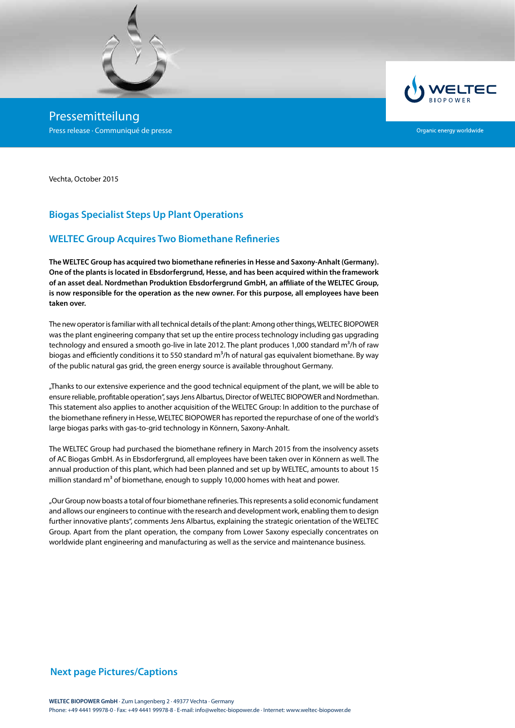

Pressemitteilung Press release · Communiqué de presse



Organic energy worldwide

Vechta, October 2015

# **Biogas Specialist Steps Up Plant Operations**

## **WELTEC Group Acquires Two Biomethane Refineries**

**The WELTEC Group has acquired two biomethane refineries in Hesse and Saxony-Anhalt (Germany). One of the plants is located in Ebsdorfergrund, Hesse, and has been acquired within the framework of an asset deal. Nordmethan Produktion Ebsdorfergrund GmbH, an affiliate of the WELTEC Group, is now responsible for the operation as the new owner. For this purpose, all employees have been taken over.**

The new operator is familiar with all technical details of the plant: Among other things, WELTEC BIOPOWER was the plant engineering company that set up the entire process technology including gas upgrading technology and ensured a smooth go-live in late 2012. The plant produces 1,000 standard m<sup>3</sup>/h of raw biogas and efficiently conditions it to 550 standard  $m^3/h$  of natural gas equivalent biomethane. By way of the public natural gas grid, the green energy source is available throughout Germany.

"Thanks to our extensive experience and the good technical equipment of the plant, we will be able to ensure reliable, profitable operation", says Jens Albartus, Director of WELTEC BIOPOWER and Nordmethan. This statement also applies to another acquisition of the WELTEC Group: In addition to the purchase of the biomethane refinery in Hesse, WELTEC BIOPOWER has reported the repurchase of one of the world's large biogas parks with gas-to-grid technology in Könnern, Saxony-Anhalt.

The WELTEC Group had purchased the biomethane refinery in March 2015 from the insolvency assets of AC Biogas GmbH. As in Ebsdorfergrund, all employees have been taken over in Könnern as well. The annual production of this plant, which had been planned and set up by WELTEC, amounts to about 15 million standard  $m<sup>3</sup>$  of biomethane, enough to supply 10,000 homes with heat and power.

"Our Group now boasts a total of four biomethane refineries. This represents a solid economic fundament and allows our engineers to continue with the research and development work, enabling them to design further innovative plants", comments Jens Albartus, explaining the strategic orientation of the WELTEC Group. Apart from the plant operation, the company from Lower Saxony especially concentrates on worldwide plant engineering and manufacturing as well as the service and maintenance business.

### **Next page Pictures/Captions**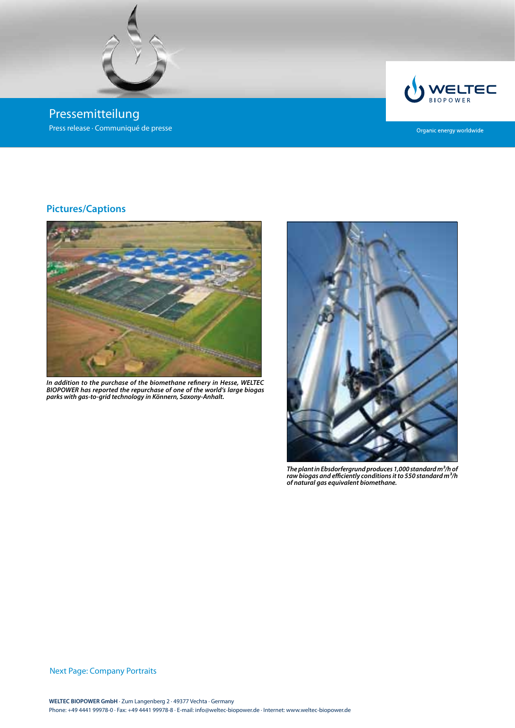

Pressemitteilung Press release · Communiqué de presse



Organic energy worldwide

# **Pictures/Captions**



*In addition to the purchase of the biomethane refinery in Hesse, WELTEC BIOPOWER has reported the repurchase of one of the world's large biogas parks with gas-to-grid technology in Könnern, Saxony-Anhalt.*



*The plant in Ebsdorfergrund produces 1,000 standard m³/h of*  raw biogas and efficiently conditions it to 550 standard m<sup>3</sup>/h *of natural gas equivalent biomethane.*